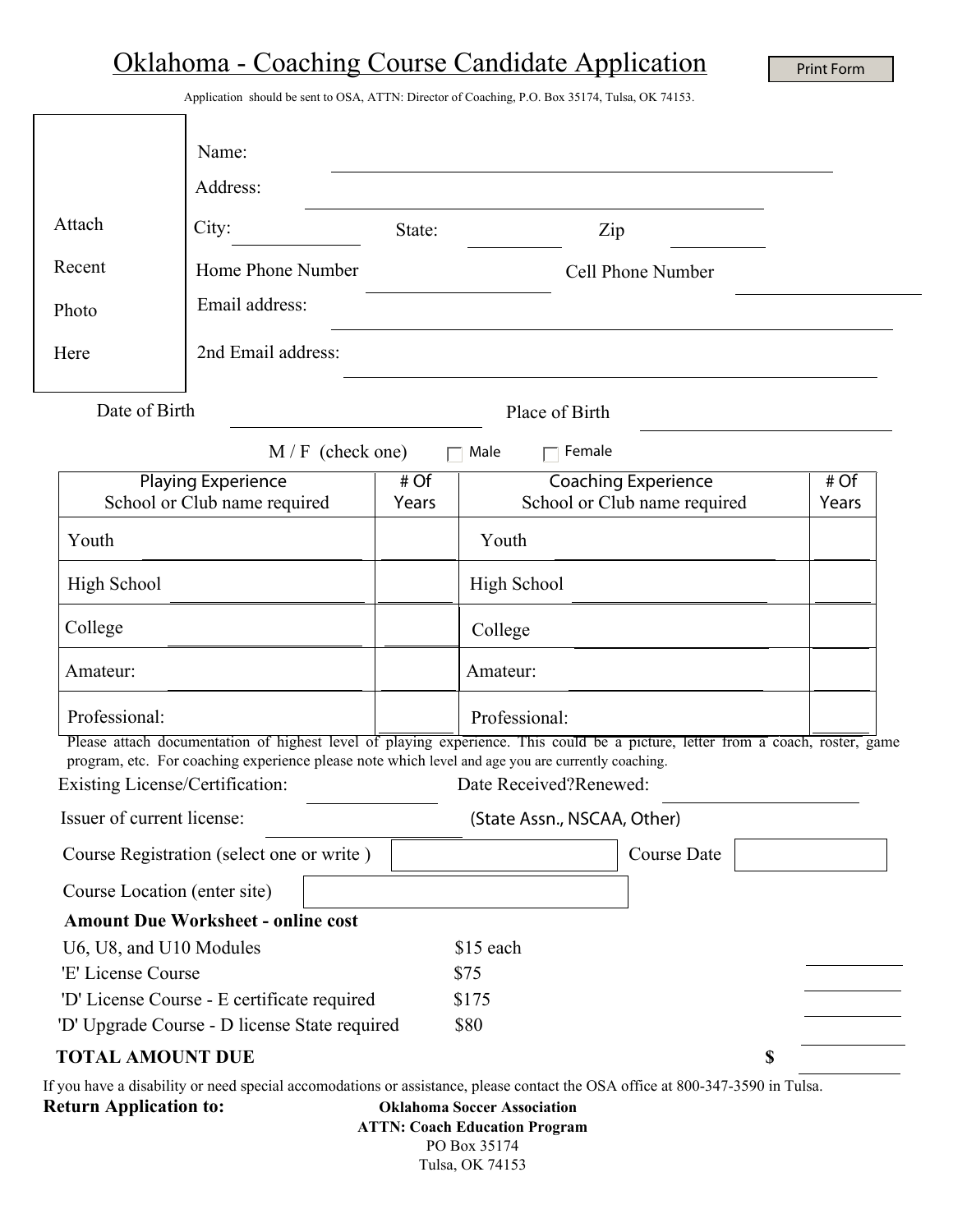## Oklahoma - Coaching Course Candidate Application

Print Form

Application should be sent to OSA, ATTN: Director of Coaching, P.O. Box 35174, Tulsa, OK 74153.

|                                                                                                                                                                                                                                                              | Name:                                                                                                                                                                                                                               |               |                        |                                                            |  |               |
|--------------------------------------------------------------------------------------------------------------------------------------------------------------------------------------------------------------------------------------------------------------|-------------------------------------------------------------------------------------------------------------------------------------------------------------------------------------------------------------------------------------|---------------|------------------------|------------------------------------------------------------|--|---------------|
|                                                                                                                                                                                                                                                              | Address:                                                                                                                                                                                                                            |               |                        |                                                            |  |               |
| Attach                                                                                                                                                                                                                                                       | City:                                                                                                                                                                                                                               | State:        | Zip                    |                                                            |  |               |
| Recent                                                                                                                                                                                                                                                       | Home Phone Number                                                                                                                                                                                                                   |               |                        | Cell Phone Number                                          |  |               |
| Photo                                                                                                                                                                                                                                                        | Email address:                                                                                                                                                                                                                      |               |                        |                                                            |  |               |
| Here                                                                                                                                                                                                                                                         | 2nd Email address:                                                                                                                                                                                                                  |               |                        |                                                            |  |               |
| Date of Birth<br>Place of Birth                                                                                                                                                                                                                              |                                                                                                                                                                                                                                     |               |                        |                                                            |  |               |
|                                                                                                                                                                                                                                                              | $M/F$ (check one)                                                                                                                                                                                                                   |               | Male<br>Female         |                                                            |  |               |
| <b>Playing Experience</b><br>School or Club name required                                                                                                                                                                                                    |                                                                                                                                                                                                                                     | # Of<br>Years |                        | <b>Coaching Experience</b><br>School or Club name required |  | # Of<br>Years |
| Youth                                                                                                                                                                                                                                                        |                                                                                                                                                                                                                                     |               | Youth                  |                                                            |  |               |
| <b>High School</b>                                                                                                                                                                                                                                           |                                                                                                                                                                                                                                     |               | <b>High School</b>     |                                                            |  |               |
| College                                                                                                                                                                                                                                                      |                                                                                                                                                                                                                                     |               | College                |                                                            |  |               |
| Amateur:                                                                                                                                                                                                                                                     |                                                                                                                                                                                                                                     |               | Amateur:               |                                                            |  |               |
| Professional:                                                                                                                                                                                                                                                |                                                                                                                                                                                                                                     |               | Professional:          |                                                            |  |               |
| Existing License/Certification:                                                                                                                                                                                                                              | Please attach documentation of highest level of playing experience. This could be a picture, letter from a coach, roster, game<br>program, etc. For coaching experience please note which level and age you are currently coaching. |               | Date Received?Renewed: |                                                            |  |               |
| Issuer of current license:<br>(State Assn., NSCAA, Other)                                                                                                                                                                                                    |                                                                                                                                                                                                                                     |               |                        |                                                            |  |               |
| Course Registration (select one or write)                                                                                                                                                                                                                    |                                                                                                                                                                                                                                     |               | $\blacktriangledown$   | Course Date                                                |  |               |
| Course Location (enter site)                                                                                                                                                                                                                                 |                                                                                                                                                                                                                                     |               |                        |                                                            |  |               |
|                                                                                                                                                                                                                                                              | <b>Amount Due Worksheet - online cost</b>                                                                                                                                                                                           |               |                        |                                                            |  |               |
| U6, U8, and U10 Modules<br>\$15 each                                                                                                                                                                                                                         |                                                                                                                                                                                                                                     |               |                        |                                                            |  |               |
| 'E' License Course                                                                                                                                                                                                                                           |                                                                                                                                                                                                                                     | \$75          |                        |                                                            |  |               |
| 'D' License Course - E certificate required<br>\$175                                                                                                                                                                                                         |                                                                                                                                                                                                                                     |               |                        |                                                            |  |               |
| \$80<br>'D' Upgrade Course - D license State required                                                                                                                                                                                                        |                                                                                                                                                                                                                                     |               |                        |                                                            |  |               |
| <b>TOTAL AMOUNT DUE</b>                                                                                                                                                                                                                                      |                                                                                                                                                                                                                                     |               |                        | \$                                                         |  |               |
| If you have a disability or need special accomodations or assistance, please contact the OSA office at 800-347-3590 in Tulsa.<br><b>Return Application to:</b><br><b>Oklahoma Soccer Association</b><br><b>ATTN: Coach Education Program</b><br>PO Box 35174 |                                                                                                                                                                                                                                     |               |                        |                                                            |  |               |

Tulsa, OK 74153